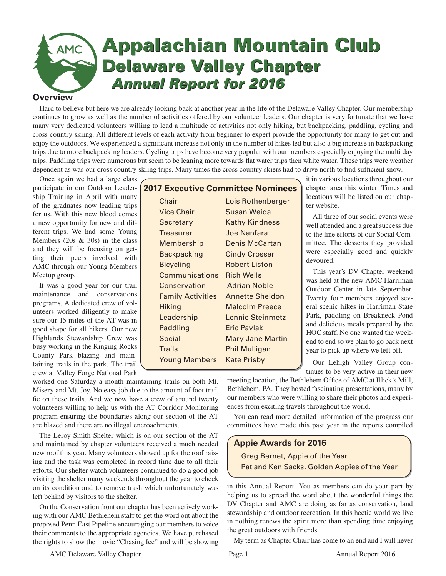# **Appalachian Mountain Club Appalachian Mountain Club AMC Delaware Valley Chapter Delaware Valley Chapter** *Annual Report for 2016*  *Annual Report for 2016***Overview**

Hard to believe but here we are already looking back at another year in the life of the Delaware Valley Chapter. Our membership continues to grow as well as the number of activities offered by our volunteer leaders. Our chapter is very fortunate that we have many very dedicated volunteers willing to lead a multitude of activities not only hiking, but backpacking, paddling, cycling and cross country skiing. All different levels of each activity from beginner to expert provide the opportunity for many to get out and enjoy the outdoors. We experienced a significant increase not only in the number of hikes led but also a big increase in backpacking trips due to more backpacking leaders. Cycling trips have become very popular with our members especially enjoying the multi day trips. Paddling trips were numerous but seem to be leaning more towards flat water trips then white water. These trips were weather dependent as was our cross country skiing trips. Many times the cross country skiers had to drive north to find sufficient snow.

Once again we had a large class participate in our Outdoor Leadership Training in April with many of the graduates now leading trips for us. With this new blood comes a new opportunity for new and different trips. We had some Young Members (20s & 30s) in the class and they will be focusing on getting their peers involved with AMC through our Young Members Meetup group.

It was a good year for our trail maintenance and conservations programs. A dedicated crew of volunteers worked diligently to make sure our 15 miles of the AT was in good shape for all hikers. Our new Highlands Stewardship Crew was busy working in the Ringing Rocks County Park blazing and maintaining trails in the park. The trail crew at Valley Forge National Park

# **2017 Executive Committee Nominees** Chair Lois Rothenberger Vice Chair Susan Weida Secretary Kathy Kindness Treasurer Joe Nanfara Membership Denis McCartan Backpacking Cindy Crosser Bicycling Robert Liston Communications Rich Wells Conservation Adrian Noble Family Activities Annette Sheldon Hiking Malcolm Preece Leadership Lennie Steinmetz Paddling **Eric Pavlak** Social Mary Jane Martin Trails Phil Mulligan Young Members Kate Prisby

it in various locations throughout our chapter area this winter. Times and locations will be listed on our chapter website.

All three of our social events were well attended and a great success due to the fine efforts of our Social Committee. The desserts they provided were especially good and quickly devoured.

This year's DV Chapter weekend was held at the new AMC Harriman Outdoor Center in late September. Twenty four members enjoyed several scenic hikes in Harriman State Park, paddling on Breakneck Pond and delicious meals prepared by the HOC staff. No one wanted the weekend to end so we plan to go back next year to pick up where we left off.

Our Lehigh Valley Group continues to be very active in their new

worked one Saturday a month maintaining trails on both Mt. Misery and Mt. Joy. No easy job due to the amount of foot traffic on these trails. And we now have a crew of around twenty volunteers willing to help us with the AT Corridor Monitoring program ensuring the boundaries along our section of the AT are blazed and there are no illegal encroachments.

The Leroy Smith Shelter which is on our section of the AT and maintained by chapter volunteers received a much needed new roof this year. Many volunteers showed up for the roof raising and the task was completed in record time due to all their efforts. Our shelter watch volunteers continued to do a good job visiting the shelter many weekends throughout the year to check on its condition and to remove trash which unfortunately was left behind by visitors to the shelter.

On the Conservation front our chapter has been actively working with our AMC Bethlehem staff to get the word out about the proposed Penn East Pipeline encouraging our members to voice their comments to the appropriate agencies. We have purchased the rights to show the movie "Chasing Ice" and will be showing

meeting location, the Bethlehem Office of AMC at Illick's Mill, Bethlehem, PA. They hosted fascinating presentations, many by our members who were willing to share their photos and experiences from exciting travels throughout the world.

You can read more detailed information of the progress our committees have made this past year in the reports compiled

# **Appie Awards for 2016**

Greg Bernet, Appie of the Year Pat and Ken Sacks, Golden Appies of the Year

in this Annual Report. You as members can do your part by helping us to spread the word about the wonderful things the DV Chapter and AMC are doing as far as conservation, land stewardship and outdoor recreation. In this hectic world we live in nothing renews the spirit more than spending time enjoying the great outdoors with friends.

My term as Chapter Chair has come to an end and I will never

AMC Delaware Valley Chapter **Page 1** Page 1 Annual Report 2016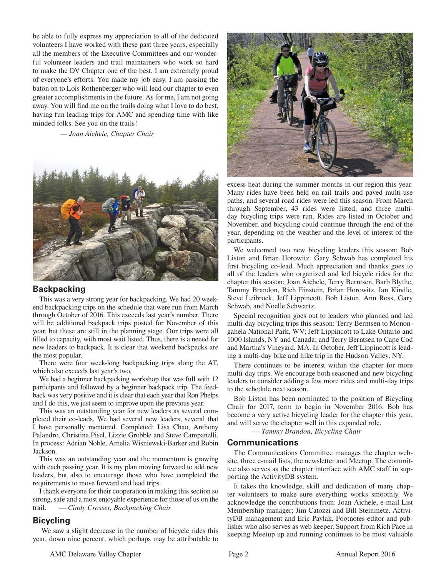be able to fully express my appreciation to all of the dedicated volunteers I have worked with these past three years, especially all the members of the Executive Committees and our wonderful volunteer leaders and trail maintainers who work so hard to make the DV Chapter one of the best. I am extremely proud of everyone's efforts. You made my job easy. I am passing the baton on to Lois Rothenberger who will lead our chapter to even greater accomplishments in the future. As for me, I am not going away. You will find me on the trails doing what I love to do best, having fun leading trips for AMC and spending time with like minded folks. See you on the trails!

*— Joan Aichele, Chapter Chair*



## **Backpacking**

This was a very strong year for backpacking. We had 20 weekend backpacking trips on the schedule that were run from March through October of 2016. This exceeds last year's number. There will be additional backpack trips posted for November of this year, but these are still in the planning stage. Our trips were all filled to capacity, with most wait listed. Thus, there is a neeed for new leaders to backpack. It is clear that weekend backpacks are the most popular.

There were four week-long backpacking trips along the AT, which also exceeds last year's two.

We had a beginner backpacking workshop that was full with 12 participants and followed by a beginner backpack trip. The feedback was very positive and it is clear that each year that Ron Phelps and I do this, we just seem to improve upon the previous year.

This was an outstanding year for new leaders as several completed their co-leads. We had several new leaders, several that I have personally mentored. Completed: Lisa Chao, Anthony Palandro, Christina Pisel, Lizzie Grobble and Steve Campanelli. In process: Adrian Noble, Amelia Wisniewski-Barker and Robin Jackson.

This was an outstanding year and the momentum is growing with each passing year. It is my plan moving forward to add new leaders, but also to encourage those who have completed the requirements to move forward and lead trips.

I thank everyone for their cooperation in making this section so strong, safe and a most enjoyable experience for those of us on the trail. — *Cindy Crosser, Backpacking Chair*

# **Bicycling**

 We saw a slight decrease in the number of bicycle rides this year, down nine percent, which perhaps may be attributable to



excess heat during the summer months in our region this year. Many rides have been held on rail trails and paved multi-use paths, and several road rides were led this season. From March through September, 43 rides were listed, and three multiday bicycling trips were run. Rides are listed in October and November, and bicycling could continue through the end of the year, depending on the weather and the level of interest of the participants.

We welcomed two new bicycling leaders this season; Bob Liston and Brian Horowitz. Gary Schwab has completed his first bicycling co-lead. Much appreciation and thanks goes to all of the leaders who organized and led bicycle rides for the chapter this season; Joan Aichele, Terry Berntsen, Barb Blythe, Tammy Brandon, Rich Einstein, Brian Horowitz, Ian Kindle, Steve Leibrock, Jeff Lippincott, Bob Liston, Ann Ross, Gary Schwab, and Noelle Schwartz.

Special recognition goes out to leaders who planned and led multi-day bicycling trips this season: Terry Berntsen to Monongahela National Park, WV; Jeff Lippincott to Lake Ontario and 1000 Islands, NY and Canada; and Terry Berntsen to Cape Cod and Martha's Vineyard, MA. In October, Jeff Lippincott is leading a multi-day bike and hike trip in the Hudson Valley, NY.

There continues to be interest within the chapter for more multi-day trips. We encourage both seasoned and new bicycling leaders to consider adding a few more rides and multi-day trips to the schedule next season.

Bob Liston has been nominated to the position of Bicycling Chair for 2017, term to begin in November 2016. Bob has become a very active bicycling leader for the chapter this year, and will serve the chapter well in this expanded role.

 *— Tammy Brandon, Bicycling Chair*

#### **Communications**

The Communications Committee manages the chapter website, three e-mail lists, the newsletter and Meetup. The committee also serves as the chapter interface with AMC staff in supporting the ActivityDB system.

It takes the knowledge, skill and dedication of many chapter volunteers to make sure everything works smoothly. We acknowledge the contributions from: Joan Aichele, e-mail List Membership manager; Jim Catozzi and Bill Steinmetz, ActivityDB management and Eric Pavlak, Footnotes editor and publisher who also serves as web keeper. Support from Rich Pace in keeping Meetup up and running continues to be most valuable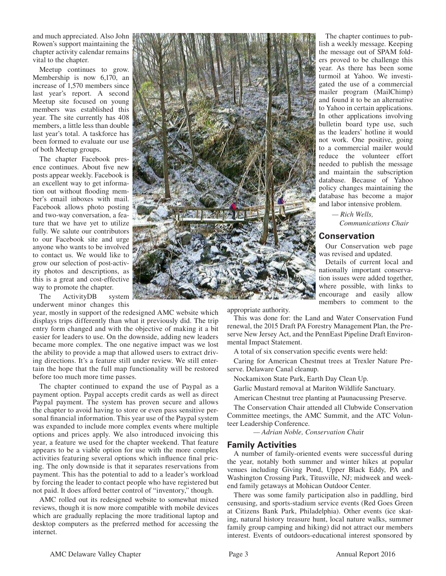and much appreciated. Also John Rowen's support maintaining the chapter activity calendar remains vital to the chapter.

Meetup continues to grow. Membership is now 6,170, an increase of 1,570 members since last year's report. A second Meetup site focused on young members was established this year. The site currently has 408 members, a little less than double last year's total. A taskforce has been formed to evaluate our use of both Meetup groups.

The chapter Facebook presence continues. About five new posts appear weekly. Facebook is an excellent way to get information out without flooding member's email inboxes with mail. Facebook allows photo posting and two-way conversation, a feature that we have yet to utilize fully. We salute our contributors to our Facebook site and urge anyone who wants to be involved to contact us. We would like to grow our selection of post-activity photos and descriptions, as this is a great and cost-effective way to promote the chapter.

The ActivityDB system underwent minor changes this

year, mostly in support of the redesigned AMC website which displays trips differently than what it previously did. The trip entry form changed and with the objective of making it a bit easier for leaders to use. On the downside, adding new leaders became more complex. The one negative impact was we lost the ability to provide a map that allowed users to extract driving directions. It's a feature still under review. We still entertain the hope that the full map functionality will be restored before too much more time passes.

The chapter continued to expand the use of Paypal as a payment option. Paypal accepts credit cards as well as direct Paypal payment. The system has proven secure and allows the chapter to avoid having to store or even pass sensitive personal financial information. This year use of the Paypal system was expanded to include more complex events where multiple options and prices apply. We also introduced invoicing this year, a feature we used for the chapter weekend. That feature appears to be a viable option for use with the more complex activities featuring several options which influence final pricing. The only downside is that it separates reservations from payment. This has the potential to add to a leader's workload by forcing the leader to contact people who have registered but not paid. It does afford better control of "inventory," though.

AMC rolled out its redesigned website to somewhat mixed reviews, though it is now more compatible with mobile devices which are gradually replacing the more traditional laptop and desktop computers as the preferred method for accessing the internet.



The chapter continues to publish a weekly message. Keeping the message out of SPAM folders proved to be challenge this year. As there has been some turmoil at Yahoo. We investigated the use of a commercial mailer program (MailChimp) and found it to be an alternative to Yahoo in certain applications. In other applications involving bulletin board type use, such as the leaders' hotline it would not work. One positive, going to a commercial mailer would reduce the volunteer effort needed to publish the message and maintain the subscription database. Because of Yahoo policy changes maintaining the database has become a major and labor intensive problem.

> *— Rich Wells, Communications Chair*

#### **Conservation**

Our Conservation web page was revised and updated.

Details of current local and nationally important conservation issues were added together, where possible, with links to encourage and easily allow members to comment to the

appropriate authority.

This was done for: the Land and Water Conservation Fund renewal, the 2015 Draft PA Forestry Management Plan, the Preserve New Jersey Act, and the PennEast Pipeline Draft Environmental Impact Statement.

A total of six conservation specific events were held:

Caring for American Chestnut trees at Trexler Nature Preserve. Delaware Canal cleanup.

Nockamixon State Park, Earth Day Clean Up.

Garlic Mustard removal at Mariton Wildlife Sanctuary.

American Chestnut tree planting at Paunacussing Preserve.

The Conservation Chair attended all Clubwide Conservation Committee meetings, the AMC Summit, and the ATC Volunteer Leadership Conference.

 *— Adrian Noble, Conservation Cha*ir

#### **Family Activities**

A number of family-oriented events were successful during the year, notably both summer and winter hikes at popular venues including Giving Pond, Upper Black Eddy, PA and Washington Crossing Park, Titusville, NJ; midweek and weekend family getaways at Mohican Outdoor Center.

There was some family participation also in paddling, bird censusing, and sports-stadium service events (Red Goes Green at Citizens Bank Park, Philadelphia). Other events (ice skating, natural history treasure hunt, local nature walks, summer family group camping and hiking) did not attract our members interest. Events of outdoors-educational interest sponsored by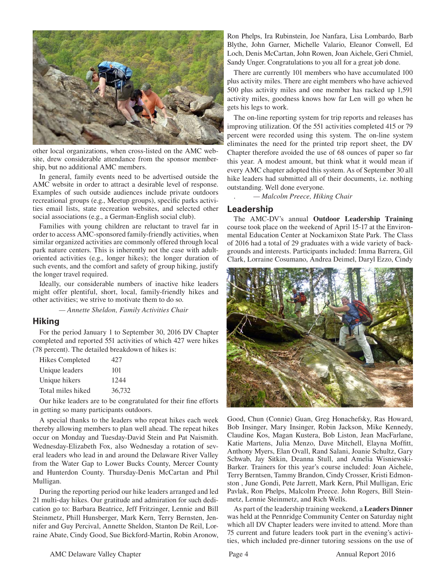

other local organizations, when cross-listed on the AMC website, drew considerable attendance from the sponsor membership, but no additional AMC members.

In general, family events need to be advertised outside the AMC website in order to attract a desirable level of response. Examples of such outside audiences include private outdoors recreational groups (e.g., Meetup groups), specific parks activities email lists, state recreation websites, and selected other social associations (e.g., a German-English social club).

Families with young children are reluctant to travel far in order to access AMC-sponsored family-friendly activities, when similar organized activities are commonly offered through local park nature centers. This is inherently not the case with adultoriented activities (e.g., longer hikes); the longer duration of such events, and the comfort and safety of group hiking, justify the longer travel required.

Ideally, our considerable numbers of inactive hike leaders might offer plentiful, short, local, family-friendly hikes and other activities; we strive to motivate them to do so.

 *— Annette Sheldon, Family Activities Chair*

## **Hiking**

For the period January 1 to September 30, 2016 DV Chapter completed and reported 551 activities of which 427 were hikes (78 percent). The detailed breakdown of hikes is:

| <b>Hikes Completed</b> | 42.7   |
|------------------------|--------|
| Unique leaders         | 101    |
| Unique hikers          | 1244   |
| Total miles hiked      | 36,732 |

Our hike leaders are to be congratulated for their fine efforts in getting so many participants outdoors.

A special thanks to the leaders who repeat hikes each week thereby allowing members to plan well ahead. The repeat hikes occur on Monday and Tuesday-David Stein and Pat Naismith. Wednesday-Elizabeth Fox, also Wednesday a rotation of several leaders who lead in and around the Delaware River Valley from the Water Gap to Lower Bucks County, Mercer County and Hunterdon County. Thursday-Denis McCartan and Phil Mulligan.

During the reporting period our hike leaders arranged and led 21 multi-day hikes. Our gratitude and admiration for such dedication go to: Barbara Beatrice, Jeff Fritzinger, Lennie and Bill Steinmetz, Phill Hunsberger, Mark Kern, Terry Bernsten, Jennifer and Guy Percival, Annette Sheldon, Stanton De Reil, Lorraine Abate, Cindy Good, Sue Bickford-Martin, Robin Aronow, Ron Phelps, Ira Rubinstein, Joe Nanfara, Lisa Lombardo, Barb Blythe, John Garner, Michelle Valario, Eleanor Conwell, Ed Loch, Denis McCartan, John Rowen, Joan Aichele, Geri Chmiel, Sandy Unger. Congratulations to you all for a great job done.

There are currently 101 members who have accumulated 100 plus activity miles. There are eight members who have achieved 500 plus activity miles and one member has racked up 1,591 activity miles, goodness knows how far Len will go when he gets his legs to work.

The on-line reporting system for trip reports and releases has improving utilization. Of the 551 activities completed 415 or 79 percent were recorded using this system. The on-line system eliminates the need for the printed trip report sheet, the DV Chapter therefore avoided the use of 68 ounces of paper so far this year. A modest amount, but think what it would mean if every AMC chapter adopted this system. As of September 30 all hike leaders had submitted all of their documents, i.e. nothing outstanding. Well done everyone.

. *— Malcolm Preece, Hiking Chair*

## **Leadership**

The AMC-DV's annual **Outdoor Leadership Training** course took place on the weekend of April 15-17 at the Environmental Education Center at Nockamixon State Park. The Class of 2016 had a total of 29 graduates with a wide variety of backgrounds and interests. Participants included: Imma Barrera, Gil Clark, Lorraine Cosumano, Andrea Deimel, Daryl Ezzo, Cindy



Good, Chun (Connie) Guan, Greg Honachefsky, Ras Howard, Bob Insinger, Mary Insinger, Robin Jackson, Mike Kennedy, Claudine Kos, Magan Kustera, Bob Liston, Jean MacFarlane, Katie Martens, Julia Menzo, Dave Mitchell, Elayna Moffitt, Anthony Myers, Elan Ovall, Rand Salani, Joanie Schultz, Gary Schwab, Jay Sitkin, Deanna Stull, and Amelia Wisniewski-Barker. Trainers for this year's course included: Joan Aichele, Terry Berntsen, Tammy Brandon, Cindy Crosser, Kristi Edmonston , June Gondi, Pete Jarrett, Mark Kern, Phil Mulligan, Eric Pavlak, Ron Phelps, Malcolm Preece. John Rogers, Bill Steinmetz, Lennie Steinmetz, and Rich Wells.

As part of the leadership training weekend, a **Leaders Dinner**  was held at the Pennridge Community Center on Saturday night which all DV Chapter leaders were invited to attend. More than 75 current and future leaders took part in the evening's activities, which included pre-dinner tutoring sessions on the use of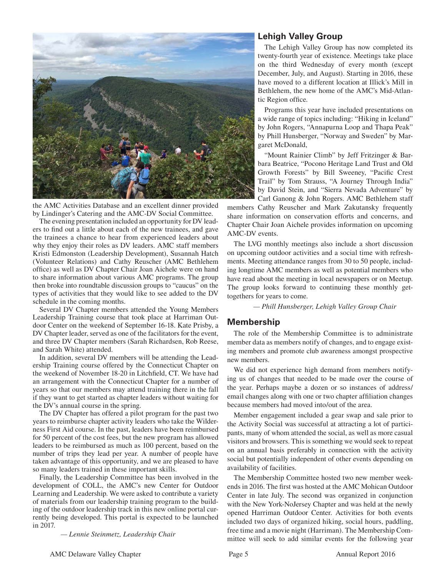

the AMC Activities Database and an excellent dinner provided by Lindinger's Catering and the AMC-DV Social Committee.

The evening presentation included an opportunity for DV leaders to find out a little about each of the new trainees, and gave the trainees a chance to hear from experienced leaders about why they enjoy their roles as DV leaders. AMC staff members Kristi Edmonston (Leadership Development), Susannah Hatch (Volunteer Relations) and Cathy Reuscher (AMC Bethlehem office) as well as DV Chapter Chair Joan Aichele were on hand to share information about various AMC programs. The group then broke into roundtable discussion groups to "caucus" on the types of activities that they would like to see added to the DV schedule in the coming months.

Several DV Chapter members attended the Young Members Leadership Training course that took place at Harriman Outdoor Center on the weekend of September 16-18. Kate Prisby, a DV Chapter leader, served as one of the facilitators for the event, and three DV Chapter members (Sarah Richardsen, Rob Reese, and Sarah White) attended.

In addition, several DV members will be attending the Leadership Training course offered by the Connecticut Chapter on the weekend of November 18-20 in Litchfield, CT. We have had an arrangement with the Connecticut Chapter for a number of years so that our members may attend training there in the fall if they want to get started as chapter leaders without waiting for the DV's annual course in the spring.

The DV Chapter has offered a pilot program for the past two years to reimburse chapter activity leaders who take the Wilderness First Aid course. In the past, leaders have been reimbursed for 50 percent of the cost fees, but the new program has allowed leaders to be reimbursed as much as 100 percent, based on the number of trips they lead per year. A number of people have taken advantage of this opportunity, and we are pleased to have so many leaders trained in these important skills.

Finally, the Leadership Committee has been involved in the development of COLL, the AMC's new Center for Outdoor Learning and Leadership. We were asked to contribute a variety of materials from our leadership training program to the building of the outdoor leadership track in this new online portal currently being developed. This portal is expected to be launched in 2017.

 *— Lennie Steinmetz, Leadership Chair*

# **Lehigh Valley Group**

The Lehigh Valley Group has now completed its twenty-fourth year of existence. Meetings take place on the third Wednesday of every month (except December, July, and August). Starting in 2016, these have moved to a different location at Illick's Mill in Bethlehem, the new home of the AMC's Mid-Atlantic Region office.

Programs this year have included presentations on a wide range of topics including: "Hiking in Iceland" by John Rogers, "Annapurna Loop and Thapa Peak" by Phill Hunsberger, "Norway and Sweden" by Margaret McDonald,

"Mount Rainier Climb" by Jeff Fritzinger & Barbara Beatrice, "Pocono Heritage Land Trust and Old Growth Forests" by Bill Sweeney, "Pacific Crest Trail" by Tom Strauss, "A Journey Through India" by David Stein, and "Sierra Nevada Adventure" by Carl Ganong & John Rogers. AMC Bethlehem staff

members Cathy Reuscher and Mark Zakutansky frequently share information on conservation efforts and concerns, and Chapter Chair Joan Aichele provides information on upcoming AMC-DV events.

The LVG monthly meetings also include a short discussion on upcoming outdoor activities and a social time with refreshments. Meeting attendance ranges from 30 to 50 people, including longtime AMC members as well as potential members who have read about the meeting in local newspapers or on Meetup. The group looks forward to continuing these monthly gettogethers for years to come.

*— Phill Hunsberger, Lehigh Valley Group Chair*

# **Membership**

The role of the Membership Committee is to administrate member data as members notify of changes, and to engage existing members and promote club awareness amongst prospective new members.

We did not experience high demand from members notifying us of changes that needed to be made over the course of the year. Perhaps maybe a dozen or so instances of address/ email changes along with one or two chapter affiliation changes because members had moved into/out of the area.

Member engagement included a gear swap and sale prior to the Activity Social was successful at attracting a lot of participants, many of whom attended the social, as well as more casual visitors and browsers. This is something we would seek to repeat on an annual basis preferably in connection with the activity social but potentially independent of other events depending on availability of facilities.

The Membership Committee hosted two new member weekends in 2016. The first was hosted at the AMC Mohican Outdoor Center in late July. The second was organized in conjunction with the New York-NoJersey Chapter and was held at the newly opened Harriman Outdoor Center. Activities for both events included two days of organized hiking, social hours, paddling, free time and a movie night (Harriman). The Membership Committee will seek to add similar events for the following year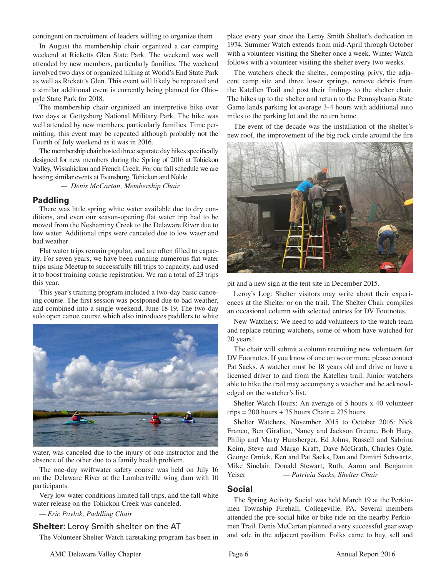contingent on recruitment of leaders willing to organize them

In August the membership chair organized a car camping weekend at Ricketts Glen State Park. The weekend was well attended by new members, particularly families. The weekend involved two days of organized hiking at World's End State Park as well as Rickett's Glen. This event will likely be repeated and a similar additional event is currently being planned for Ohiopyle State Park for 2018.

The membership chair organized an interpretive hike over two days at Gettysburg National Military Park. The hike was well attended by new members, particularly families. Time permitting, this event may be repeated although probably not the Fourth of July weekend as it was in 2016.

The membership chair hosted three separate day hikes specifically designed for new members during the Spring of 2016 at Tohickon Valley, Wissahickon and French Creek. For our fall schedule we are hosting similar events at Evansburg, Tohickon and Nolde.

 *— Denis McCartan, Membership Chair*

#### **Paddling**

There was little spring white water available due to dry conditions, and even our season-opening flat water trip had to be moved from the Neshaminy Creek to the Delaware River due to low water. Additional trips were canceled due to low water and bad weather

Flat water trips remain popular, and are often filled to capacity. For seven years, we have been running numerous flat water trips using Meetup to successfully fill trips to capacity, and used it to boost training course registration. We ran a total of 23 trips this year.

This year's training program included a two-day basic canoeing course. The first session was postponed due to bad weather, and combined into a single weekend, June 18-19. The two-day solo open canoe course which also introduces paddlers to white



water, was canceled due to the injury of one instructor and the absence of the other due to a family health problem.

The one-day swiftwater safety course was held on July 16 on the Delaware River at the Lambertville wing dam with 10 participants.

Very low water conditions limited fall trips, and the fall white water release on the Tohickon Creek was canceled.

*— Eric Pavlak, Paddling Chair*

#### **Shelter:** Leroy Smith shelter on the AT

The Volunteer Shelter Watch caretaking program has been in

place every year since the Leroy Smith Shelter's dedication in 1974. Summer Watch extends from mid-April through October with a volunteer visiting the Shelter once a week. Winter Watch follows with a volunteer visiting the shelter every two weeks.

The watchers check the shelter, composting privy, the adjacent camp site and three lower springs, remove debris from the Katellen Trail and post their findings to the shelter chair. The hikes up to the shelter and return to the Pennsylvania State Game lands parking lot average 3-4 hours with additional auto miles to the parking lot and the return home.

The event of the decade was the installation of the shelter's new roof, the improvement of the big rock circle around the fire



pit and a new sign at the tent site in December 2015.

Leroy's Log: Shelter visitors may write about their experiences at the Shelter or on the trail. The Shelter Chair compiles an occasional column with selected entries for DV Footnotes.

New Watchers: We need to add volunteers to the watch team and replace retiring watchers, some of whom have watched for 20 years!

The chair will submit a column recruiting new volunteers for DV Footnotes. If you know of one or two or more, please contact Pat Sacks. A watcher must be 18 years old and drive or have a licensed driver to and from the Katellen trail. Junior watchers able to hike the trail may accompany a watcher and be acknowledged on the watcher's list.

Shelter Watch Hours: An average of 5 hours x 40 volunteer trips  $= 200$  hours  $+ 35$  hours Chair  $= 235$  hours

Shelter Watchers, November 2015 to October 2016: Nick Franco, Ben Giralico, Nancy and Jackson Greene, Bob Huey, Philip and Marty Hunsberger, Ed Johns, Russell and Sabrina Keim, Steve and Margo Kraft, Dave McGrath, Charles Ogle, George Omick, Ken and Pat Sacks, Dan and Dimitri Schwartz, Mike Sinclair, Donald Stewart, Ruth, Aaron and Benjamin Yeiser *— Patricia Sacks, Shelter Chair*

#### **Social**

The Spring Activity Social was held March 19 at the Perkiomen Township Firehall, Collegeville, PA. Several members attended the pre-social hike or bike ride on the nearby Perkiomen Trail. Denis McCartan planned a very successful gear swap and sale in the adjacent pavilion. Folks came to buy, sell and

AMC Delaware Valley Chapter **Page 6** Page 6 Annual Report 2016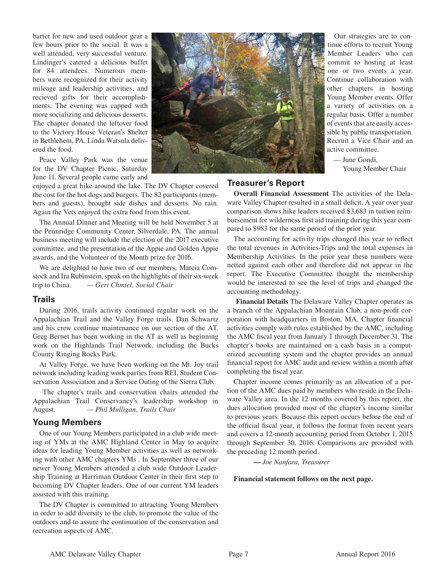barter for new and used outdoor gear a few hours prior to the social. It was a well attended, very successful venture. Lindinger's catered a delicious buffet for 84 attendees. Numerous members were recognized for their activity mileage and leadership activities, and recieved gifts for their accomplishments. The evening was capped with more socializing and delicious desserts. The chapter donated the leftover food to the Victory House Veteran's Shelter in Bethlehem, PA. Linda Watsula delivered the food.

Peace Valley Park was the venue for the DV Chapter Picnic, Saturday June 11. Several people came early and

enjoyed a great hike around the lake. The DV Chapter covered the cost for the hot dogs and burgers. The 82 participants (members and guests), brought side dishes and desserts. No rain. Again the Vets enjoyed the extra food from this event.

The Annual Dinner and Meeting will be held November 5 at the Pennridge Community Center, Silverdale, PA. The annual business meeting will include the election of the 2017 executive committee, and the presentation of the Appie and Golden Appie awards, and the Volunteer of the Month prize for 2016.

We are delighted to have two of our members, Marcia Comstock and Ira Rubinstein, speak on the highlights of their six-week trip to China. *— Geri Chmiel, Social Chair*

#### **Trails**

During 2016, trails activity continued regular work on the Appalachian Trail and the Valley Forge trails. Dan Schwartz and his crew continue maintenance on our section of the AT. Greg Bernet has been working in the AT as well as beginning work on the Highlands Trail Network, including the Bucks County Ringing Rocks Park.

At Valley Forge, we have been working on the Mt. Joy trail network including leading work parties from REI, Student Conservation Association and a Service Outing of the Sierra Club.

 The chapter's trails and conservation chairs attended the Appalachian Trail Conservancy's leadership workshop in August. *— Phil Mulligan, Trails Chair*

# **Young Members**

One of our Young Members participated in a club wide meeting of YMs at the AMC Highland Center in May to acquire ideas for leading Young Member activities as well as networking with other AMC chapters YMs . In September three of our newer Young Members attended a club wide Outdoor Leadership Training at Harriman Outdoor Center in their first step to becoming DV Chapter leaders. One of our current YM leaders assisted with this training.

The DV Chapter is committed to attracting Young Members in order to add diversity to the club, to promote the value of the outdoors and to assure the continuation of the conservation and recreation aspects of AMC.



Our strategies are to continue efforts to recruit Young Member Leaders who can commit to hosting at least one or two events a year. Continue collaboration with other chapters in hosting Young Member events. Offer a variety of activities on a regular basis. Offer a number of events that are easily accessible by public transportation. Recruit a Vice Chair and an active committee.

— June Gondi, Young Member Chair

# **Treasurer's Report**

**Overall Financial Assessment** The activities of the Delaware Valley Chapter resulted in a small deficit. A year over year comparison shows hike leaders received \$3,683 in tuition reimbursement for wilderness first aid training during this year compared to \$983 for the same period of the prior year.

The accounting for activity trips changed this year to reflect the total revenues in Activities-Trips and the total expenses in Membership Activities. In the prior year these numbers were netted against each other and therefore did not appear in the report. The Executive Committee thought the membership would be interested to see the level of trips and changed the accounting methodology.

**Financial Details** The Delaware Valley Chapter operates as a branch of the Appalachian Mountain Club, a non-profit corporation with headquarters in Boston, MA. Chapter financial activities comply with rules established by the AMC, including the AMC fiscal year from January 1 through December 31. The chapter's books are maintained on a cash basis in a computerized accounting system and the chapter provides an annual financial report for AMC audit and review within a month after completing the fiscal year.

Chapter income comes primarily as an allocation of a portion of the AMC dues paid by members who reside in the Delaware Valley area. In the 12 months covered by this report, the dues allocation provided most of the chapter's income similar to previous years. Because this report occurs before the end of the official fiscal year, it follows the format from recent years and covers a 12-month accounting period from October 1, 2015 through September 30, 2016. Comparisons are provided with the preceding 12 month period.

**—** *Joe Nanfara, Treasurer*

#### **Financial statement follows on the next page.**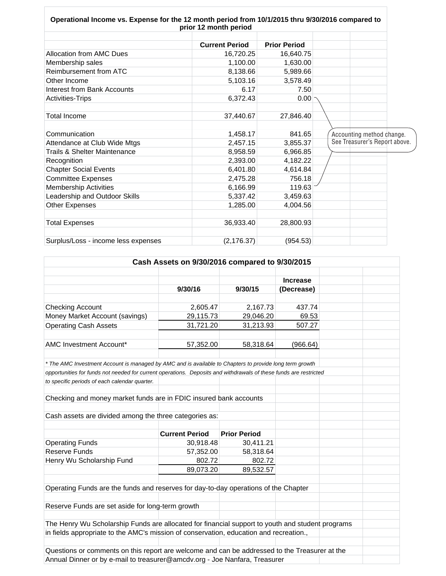| Operational Income vs. Expense for the 12 month period from 10/1/2015 thru 9/30/2016 compared to | prior 12 month period |                     |                               |
|--------------------------------------------------------------------------------------------------|-----------------------|---------------------|-------------------------------|
|                                                                                                  |                       |                     |                               |
|                                                                                                  | <b>Current Period</b> | <b>Prior Period</b> |                               |
| <b>Allocation from AMC Dues</b>                                                                  | 16,720.25             | 16,640.75           |                               |
| Membership sales                                                                                 | 1,100.00              | 1,630.00            |                               |
| Reimbursement from ATC                                                                           | 8,138.66              | 5,989.66            |                               |
| Other Income                                                                                     | 5,103.16              | 3,578.49            |                               |
| Interest from Bank Accounts                                                                      | 6.17                  | 7.50                |                               |
| <b>Activities-Trips</b>                                                                          | 6,372.43              | 0.00                |                               |
|                                                                                                  |                       |                     |                               |
| <b>Total Income</b>                                                                              | 37,440.67             | 27,846.40           |                               |
|                                                                                                  |                       |                     |                               |
| Communication                                                                                    | 1,458.17              | 841.65              | Accounting method change.     |
| Attendance at Club Wide Mtgs                                                                     | 2,457.15              | 3,855.37            | See Treasurer's Report above. |
| Trails & Shelter Maintenance                                                                     | 8,958.59              | 6,966.85            |                               |
| Recognition                                                                                      | 2,393.00              | 4,182.22            |                               |
| <b>Chapter Social Events</b>                                                                     | 6,401.80              | 4,614.84            |                               |
| <b>Committee Expenses</b>                                                                        | 2,475.28              | 756.18              |                               |
| <b>Membership Activities</b>                                                                     | 6,166.99              | 119.63              |                               |
| Leadership and Outdoor Skills                                                                    | 5,337.42              | 3,459.63            |                               |
| Other Expenses                                                                                   | 1,285.00              | 4,004.56            |                               |
|                                                                                                  |                       |                     |                               |
| <b>Total Expenses</b>                                                                            | 36,933.40             | 28,800.93           |                               |
|                                                                                                  |                       |                     |                               |
| Surplus/Loss - income less expenses                                                              | (2, 176.37)           | (954.53)            |                               |

 $\overline{1}$ 

 $\overline{\Gamma}$ 

| Cash Assets on 9/30/2016 compared to 9/30/2015                                                                    |                       |                     |                 |  |  |
|-------------------------------------------------------------------------------------------------------------------|-----------------------|---------------------|-----------------|--|--|
|                                                                                                                   |                       |                     |                 |  |  |
|                                                                                                                   |                       |                     | <b>Increase</b> |  |  |
|                                                                                                                   | 9/30/16               | 9/30/15             | (Decrease)      |  |  |
|                                                                                                                   |                       |                     |                 |  |  |
| <b>Checking Account</b>                                                                                           | 2,605.47              | 2,167.73            | 437.74          |  |  |
| Money Market Account (savings)                                                                                    | 29,115.73             | 29,046.20           | 69.53           |  |  |
| <b>Operating Cash Assets</b>                                                                                      | 31,721.20             | 31,213.93           | 507.27          |  |  |
|                                                                                                                   |                       |                     |                 |  |  |
| AMC Investment Account*                                                                                           | 57,352.00             | 58,318.64           | (966.64)        |  |  |
|                                                                                                                   |                       |                     |                 |  |  |
| * The AMC Investment Account is managed by AMC and is available to Chapters to provide long term growth           |                       |                     |                 |  |  |
| opportunities for funds not needed for current operations. Deposits and withdrawals of these funds are restricted |                       |                     |                 |  |  |
| to specific periods of each calendar quarter.                                                                     |                       |                     |                 |  |  |
|                                                                                                                   |                       |                     |                 |  |  |
| Checking and money market funds are in FDIC insured bank accounts                                                 |                       |                     |                 |  |  |
|                                                                                                                   |                       |                     |                 |  |  |
| Cash assets are divided among the three categories as:                                                            |                       |                     |                 |  |  |
|                                                                                                                   |                       |                     |                 |  |  |
|                                                                                                                   | <b>Current Period</b> | <b>Prior Period</b> |                 |  |  |
| <b>Operating Funds</b>                                                                                            | 30,918.48             | 30,411.21           |                 |  |  |
| <b>Reserve Funds</b>                                                                                              | 57,352.00             | 58,318.64           |                 |  |  |
| Henry Wu Scholarship Fund                                                                                         | 802.72                | 802.72              |                 |  |  |
|                                                                                                                   |                       |                     |                 |  |  |
|                                                                                                                   | 89,073.20             | 89,532.57           |                 |  |  |
|                                                                                                                   |                       |                     |                 |  |  |
| Operating Funds are the funds and reserves for day-to-day operations of the Chapter                               |                       |                     |                 |  |  |
|                                                                                                                   |                       |                     |                 |  |  |
| Reserve Funds are set aside for long-term growth                                                                  |                       |                     |                 |  |  |
|                                                                                                                   |                       |                     |                 |  |  |
| The Henry Wu Scholarship Funds are allocated for financial support to youth and student programs                  |                       |                     |                 |  |  |
| in fields appropriate to the AMC's mission of conservation, education and recreation.,                            |                       |                     |                 |  |  |
|                                                                                                                   |                       |                     |                 |  |  |
| Questions or comments on this report are welcome and can be addressed to the Treasurer at the                     |                       |                     |                 |  |  |
| Annual Dinner or by e-mail to treasurer@amcdv.org - Joe Nanfara, Treasurer                                        |                       |                     |                 |  |  |